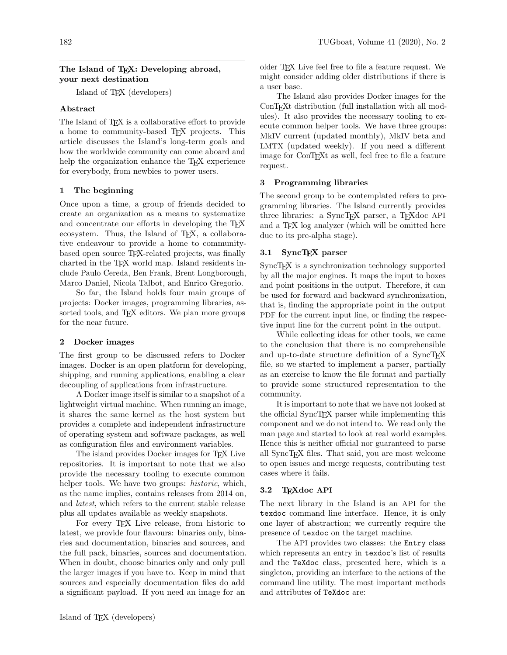### The Island of T<sub>F</sub>X: Developing abroad, your next destination

Island of TEX (developers)

## Abstract

The Island of T<sub>F</sub>X is a collaborative effort to provide a home to community-based TEX projects. This article discusses the Island's long-term goals and how the worldwide community can come aboard and help the organization enhance the T<sub>E</sub>X experience for everybody, from newbies to power users.

# 1 The beginning

Once upon a time, a group of friends decided to create an organization as a means to systematize and concentrate our efforts in developing the T<sub>EX</sub> ecosystem. Thus, the Island of T<sub>F</sub>X, a collaborative endeavour to provide a home to communitybased open source TEX-related projects, was finally charted in the TEX world map. Island residents include Paulo Cereda, Ben Frank, Brent Longborough, Marco Daniel, Nicola Talbot, and Enrico Gregorio.

So far, the Island holds four main groups of projects: Docker images, programming libraries, assorted tools, and T<sub>EX</sub> editors. We plan more groups for the near future.

## 2 Docker images

The first group to be discussed refers to Docker images. Docker is an open platform for developing, shipping, and running applications, enabling a clear decoupling of applications from infrastructure.

A Docker image itself is similar to a snapshot of a lightweight virtual machine. When running an image, it shares the same kernel as the host system but provides a complete and independent infrastructure of operating system and software packages, as well as configuration files and environment variables.

The island provides Docker images for TEX Live repositories. It is important to note that we also provide the necessary tooling to execute common helper tools. We have two groups: *historic*, which, as the name implies, contains releases from 2014 on, and latest, which refers to the current stable release plus all updates available as weekly snapshots.

For every T<sub>EX</sub> Live release, from historic to latest, we provide four flavours: binaries only, binaries and documentation, binaries and sources, and the full pack, binaries, sources and documentation. When in doubt, choose binaries only and only pull the larger images if you have to. Keep in mind that sources and especially documentation files do add a significant payload. If you need an image for an

older TEX Live feel free to file a feature request. We might consider adding older distributions if there is a user base.

The Island also provides Docker images for the ConT<sub>E</sub>X<sup>t</sup> distribution (full installation with all modules). It also provides the necessary tooling to execute common helper tools. We have three groups: MkIV current (updated monthly), MkIV beta and LMTX (updated weekly). If you need a different image for ConTEXt as well, feel free to file a feature request.

# 3 Programming libraries

The second group to be contemplated refers to programming libraries. The Island currently provides three libraries: a SyncT<sub>F</sub>X parser, a T<sub>F</sub>X doc API and a TEX log analyzer (which will be omitted here due to its pre-alpha stage).

# 3.1 SyncT<sub>EX</sub> parser

SyncTEX is a synchronization technology supported by all the major engines. It maps the input to boxes and point positions in the output. Therefore, it can be used for forward and backward synchronization, that is, finding the appropriate point in the output PDF for the current input line, or finding the respective input line for the current point in the output.

While collecting ideas for other tools, we came to the conclusion that there is no comprehensible and up-to-date structure definition of a SyncTEX file, so we started to implement a parser, partially as an exercise to know the file format and partially to provide some structured representation to the community.

It is important to note that we have not looked at the official SyncTEX parser while implementing this component and we do not intend to. We read only the man page and started to look at real world examples. Hence this is neither official nor guaranteed to parse all SyncTEX files. That said, you are most welcome to open issues and merge requests, contributing test cases where it fails.

# 3.2 TEXdoc API

The next library in the Island is an API for the texdoc command line interface. Hence, it is only one layer of abstraction; we currently require the presence of texdoc on the target machine.

The API provides two classes: the Entry class which represents an entry in texdoc's list of results and the TeXdoc class, presented here, which is a singleton, providing an interface to the actions of the command line utility. The most important methods and attributes of TeXdoc are: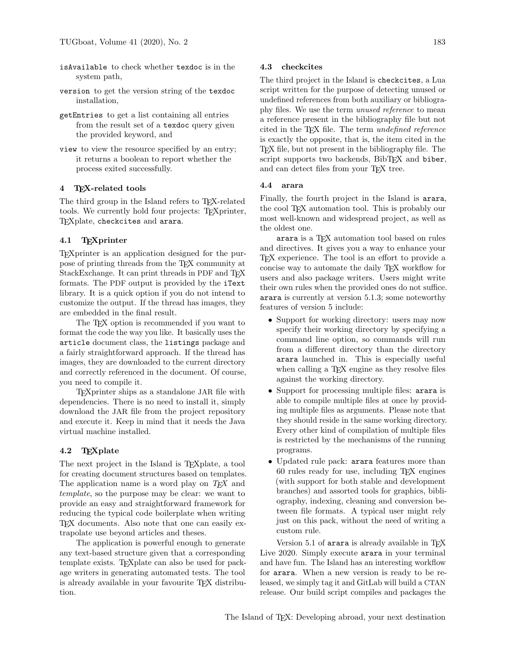- isAvailable to check whether texdoc is in the system path,
- version to get the version string of the texdoc installation,
- getEntries to get a list containing all entries from the result set of a texdoc query given the provided keyword, and
- view to view the resource specified by an entry; it returns a boolean to report whether the process exited successfully.

#### 4 TEX-related tools

The third group in the Island refers to TEX-related tools. We currently hold four projects: TEXprinter, TEXplate, checkcites and arara.

### 4.1 TEXprinter

TEXprinter is an application designed for the purpose of printing threads from the TEX community at StackExchange. It can print threads in PDF and TEX formats. The PDF output is provided by the iText library. It is a quick option if you do not intend to customize the output. If the thread has images, they are embedded in the final result.

The T<sub>EX</sub> option is recommended if you want to format the code the way you like. It basically uses the article document class, the listings package and a fairly straightforward approach. If the thread has images, they are downloaded to the current directory and correctly referenced in the document. Of course, you need to compile it.

TEXprinter ships as a standalone JAR file with dependencies. There is no need to install it, simply download the JAR file from the project repository and execute it. Keep in mind that it needs the Java virtual machine installed.

### 4.2 TEXplate

The next project in the Island is TEXplate, a tool for creating document structures based on templates. The application name is a word play on  $TEX$  and template, so the purpose may be clear: we want to provide an easy and straightforward framework for reducing the typical code boilerplate when writing TEX documents. Also note that one can easily extrapolate use beyond articles and theses.

The application is powerful enough to generate any text-based structure given that a corresponding template exists. T<sub>E</sub>Xplate can also be used for package writers in generating automated tests. The tool is already available in your favourite TEX distribution.

#### 4.3 checkcites

The third project in the Island is checkcites, a Lua script written for the purpose of detecting unused or undefined references from both auxiliary or bibliography files. We use the term *unused reference* to mean a reference present in the bibliography file but not cited in the T<sub>E</sub>X file. The term undefined reference is exactly the opposite, that is, the item cited in the TEX file, but not present in the bibliography file. The script supports two backends, BibTFX and biber, and can detect files from your T<sub>F</sub>X tree.

### 4.4 arara

Finally, the fourth project in the Island is arara, the cool TEX automation tool. This is probably our most well-known and widespread project, as well as the oldest one.

arara is a TEX automation tool based on rules and directives. It gives you a way to enhance your T<sub>E</sub>X experience. The tool is an effort to provide a concise way to automate the daily TEX workflow for users and also package writers. Users might write their own rules when the provided ones do not suffice. arara is currently at version 5.1.3; some noteworthy features of version 5 include:

- Support for working directory: users may now specify their working directory by specifying a command line option, so commands will run from a different directory than the directory arara launched in. This is especially useful when calling a T<sub>E</sub>X engine as they resolve files against the working directory.
- Support for processing multiple files: arara is able to compile multiple files at once by providing multiple files as arguments. Please note that they should reside in the same working directory. Every other kind of compilation of multiple files is restricted by the mechanisms of the running programs.
- Updated rule pack: arara features more than 60 rules ready for use, including TEX engines (with support for both stable and development branches) and assorted tools for graphics, bibliography, indexing, cleaning and conversion between file formats. A typical user might rely just on this pack, without the need of writing a custom rule.

Version 5.1 of arara is already available in T<sub>F</sub>X Live 2020. Simply execute arara in your terminal and have fun. The Island has an interesting workflow for arara. When a new version is ready to be released, we simply tag it and GitLab will build a CTAN release. Our build script compiles and packages the